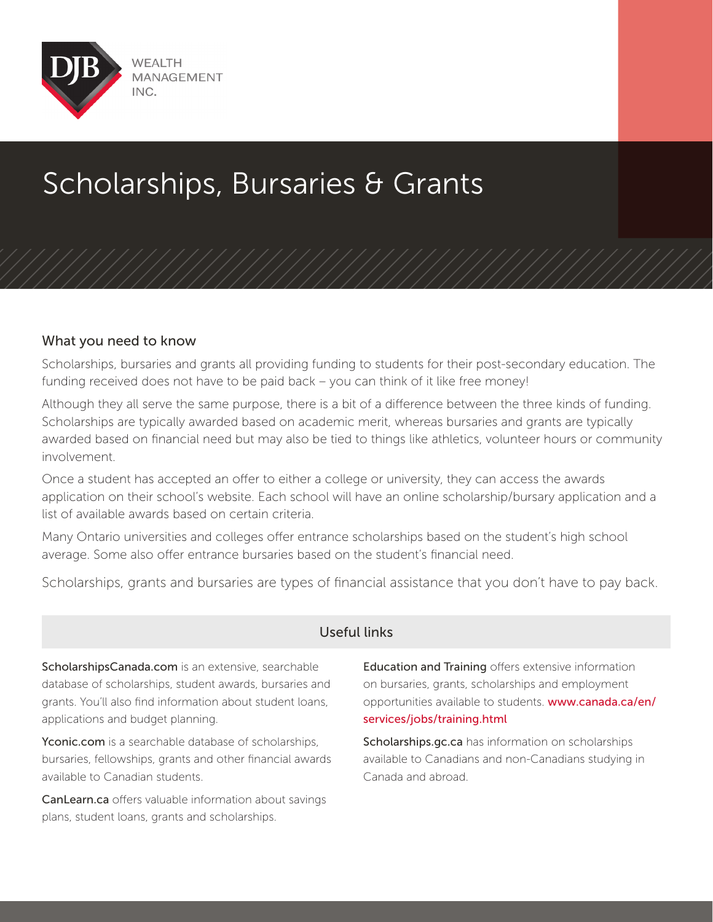

## Scholarships, Bursaries & Grants

## What you need to know

Scholarships, bursaries and grants all providing funding to students for their post-secondary education. The funding received does not have to be paid back – you can think of it like free money!

Although they all serve the same purpose, there is a bit of a difference between the three kinds of funding. Scholarships are typically awarded based on academic merit, whereas bursaries and grants are typically awarded based on financial need but may also be tied to things like athletics, volunteer hours or community involvement.

Once a student has accepted an offer to either a college or university, they can access the awards application on their school's website. Each school will have an online scholarship/bursary application and a list of available awards based on certain criteria.

Many Ontario universities and colleges offer entrance scholarships based on the student's high school average. Some also offer entrance bursaries based on the student's financial need.

Scholarships, grants and bursaries are types of financial assistance that you don't have to pay back.

## Useful links

ScholarshipsCanada.com is an extensive, searchable database of scholarships, student awards, bursaries and grants. You'll also find information about student loans, applications and budget planning.

Yconic.com is a searchable database of scholarships, bursaries, fellowships, grants and other financial awards available to Canadian students.

CanLearn.ca offers valuable information about savings plans, student loans, grants and scholarships.

**Education and Training** offers extensive information on bursaries, grants, scholarships and employment opportunities available to students. www.canada.ca/en/ services/jobs/training.html

Scholarships.gc.ca has information on scholarships available to Canadians and non-Canadians studying in Canada and abroad.